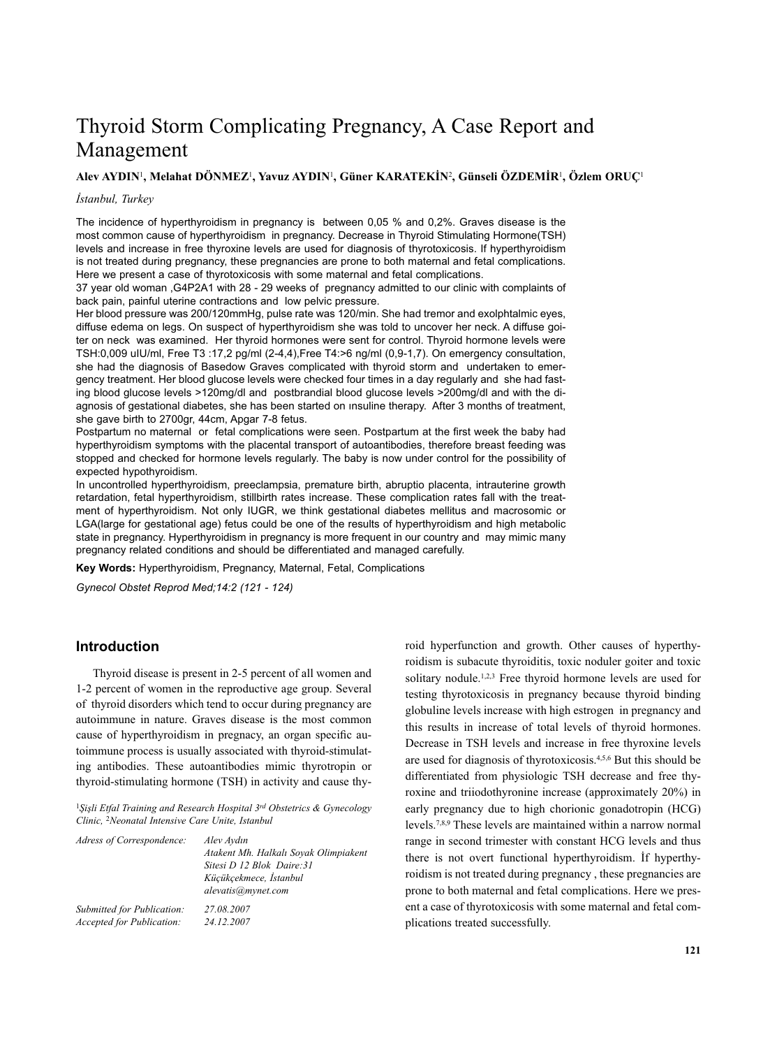# Thyroid Storm Complicating Pregnancy, A Case Report and Management

#### **Alev AYDIN**1**, Melahat DÖNMEZ**1**, Yavuz AYDIN**1**, Güner KARATEKİN**2**, Günseli ÖZDEMİR**1**, Özlem ORUÇ**<sup>1</sup>

## *İstanbul, Turkey*

The incidence of hyperthyroidism in pregnancy is between 0,05 % and 0,2%. Graves disease is the most common cause of hyperthyroidism in pregnancy. Decrease in Thyroid Stimulating Hormone(TSH) levels and increase in free thyroxine levels are used for diagnosis of thyrotoxicosis. If hyperthyroidism is not treated during pregnancy, these pregnancies are prone to both maternal and fetal complications. Here we present a case of thyrotoxicosis with some maternal and fetal complications.

37 year old woman ,G4P2A1 with 28 - 29 weeks of pregnancy admitted to our clinic with complaints of back pain, painful uterine contractions and low pelvic pressure.

Her blood pressure was 200/120mmHg, pulse rate was 120/min. She had tremor and exolphtalmic eyes, diffuse edema on legs. On suspect of hyperthyroidism she was told to uncover her neck. A diffuse goiter on neck was examined. Her thyroid hormones were sent for control. Thyroid hormone levels were TSH:0,009 uIU/ml, Free T3 :17,2 pg/ml (2-4,4),Free T4:>6 ng/ml (0,9-1,7). On emergency consultation, she had the diagnosis of Basedow Graves complicated with thyroid storm and undertaken to emergency treatment. Her blood glucose levels were checked four times in a day regularly and she had fasting blood glucose levels >120mg/dl and postbrandial blood glucose levels >200mg/dl and with the diagnosis of gestational diabetes, she has been started on ınsuline therapy. After 3 months of treatment, she gave birth to 2700gr, 44cm, Apgar 7-8 fetus.

Postpartum no maternal or fetal complications were seen. Postpartum at the first week the baby had hyperthyroidism symptoms with the placental transport of autoantibodies, therefore breast feeding was stopped and checked for hormone levels regularly. The baby is now under control for the possibility of expected hypothyroidism.

In uncontrolled hyperthyroidism, preeclampsia, premature birth, abruptio placenta, intrauterine growth retardation, fetal hyperthyroidism, stillbirth rates increase. These complication rates fall with the treatment of hyperthyroidism. Not only IUGR, we think gestational diabetes mellitus and macrosomic or LGA(large for gestational age) fetus could be one of the results of hyperthyroidism and high metabolic state in pregnancy. Hyperthyroidism in pregnancy is more frequent in our country and may mimic many pregnancy related conditions and should be differentiated and managed carefully.

**Key Words:** Hyperthyroidism, Pregnancy, Maternal, Fetal, Complications

*Gynecol Obstet Reprod Med;14:2 (121 - 124)*

## **Introduction**

Thyroid disease is present in 2-5 percent of all women and 1-2 percent of women in the reproductive age group. Several of thyroid disorders which tend to occur during pregnancy are autoimmune in nature. Graves disease is the most common cause of hyperthyroidism in pregnacy, an organ specific autoimmune process is usually associated with thyroid-stimulating antibodies. These autoantibodies mimic thyrotropin or thyroid-stimulating hormone (TSH) in activity and cause thy-

<sup>1</sup>*Şişli Etfal Training and Research Hospital 3rd Obstetrics & Gynecology Clinic,* <sup>2</sup>*Neonatal Intensive Care Unite, Istanbul*

| Alev Avdın<br>Atakent Mh. Halkalı Soyak Olimpiakent<br>Sitesi D 12 Blok Daire: 31<br>Küçükçekmece, İstanbul<br>alevatis@mynet.com |
|-----------------------------------------------------------------------------------------------------------------------------------|
| 27.08.2007<br>24.12.2007                                                                                                          |
|                                                                                                                                   |

roid hyperfunction and growth. Other causes of hyperthyroidism is subacute thyroiditis, toxic noduler goiter and toxic solitary nodule.<sup>1,2,3</sup> Free thyroid hormone levels are used for testing thyrotoxicosis in pregnancy because thyroid binding globuline levels increase with high estrogen in pregnancy and this results in increase of total levels of thyroid hormones. Decrease in TSH levels and increase in free thyroxine levels are used for diagnosis of thyrotoxicosis. 4,5,6 But this should be differentiated from physiologic TSH decrease and free thyroxine and triiodothyronine increase (approximately 20%) in early pregnancy due to high chorionic gonadotropin (HCG) levels. 7,8,9 These levels are maintained within a narrow normal range in second trimester with constant HCG levels and thus there is not overt functional hyperthyroidism. İf hyperthyroidism is not treated during pregnancy , these pregnancies are prone to both maternal and fetal complications. Here we present a case of thyrotoxicosis with some maternal and fetal complications treated successfully.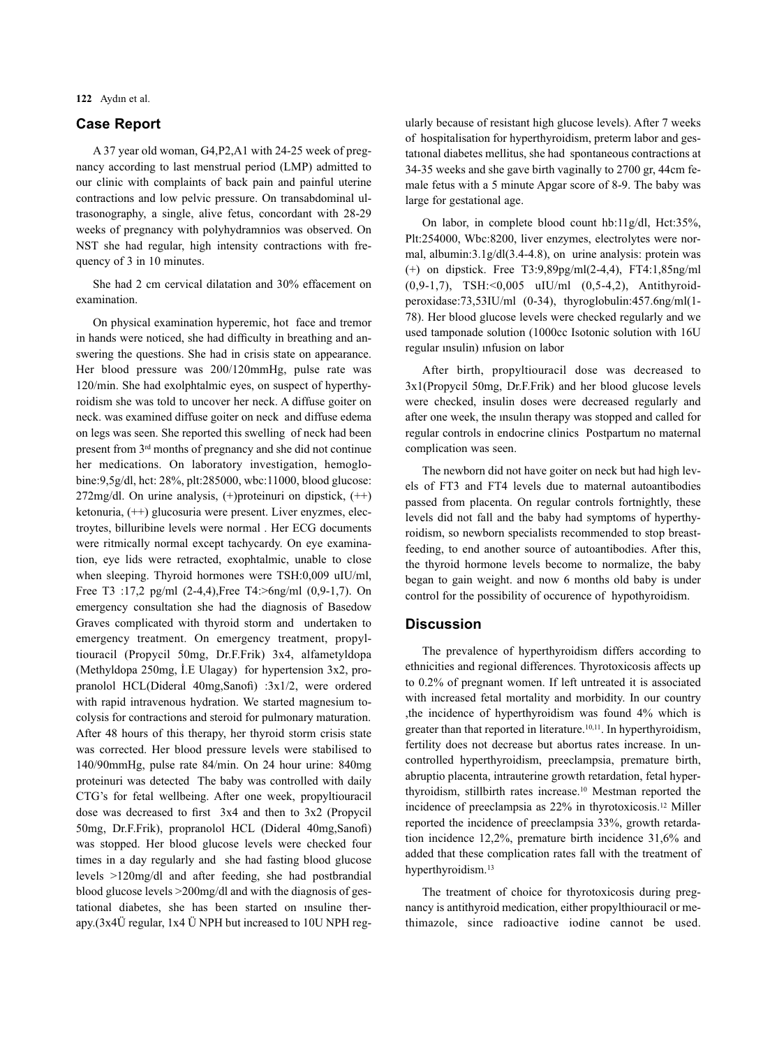**122** Aydın et al.

# **Case Report**

A 37 year old woman, G4,P2,A1 with 24-25 week of pregnancy according to last menstrual period (LMP) admitted to our clinic with complaints of back pain and painful uterine contractions and low pelvic pressure. On transabdominal ultrasonography, a single, alive fetus, concordant with 28-29 weeks of pregnancy with polyhydramnios was observed. On NST she had regular, high intensity contractions with frequency of 3 in 10 minutes.

She had 2 cm cervical dilatation and 30% effacement on examination.

On physical examination hyperemic, hot face and tremor in hands were noticed, she had difficulty in breathing and answering the questions. She had in crisis state on appearance. Her blood pressure was 200/120mmHg, pulse rate was 120/min. She had exolphtalmic eyes, on suspect of hyperthyroidism she was told to uncover her neck. A diffuse goiter on neck. was examined diffuse goiter on neck and diffuse edema on legs was seen. She reported this swelling of neck had been present from 3rd months of pregnancy and she did not continue her medications. On laboratory investigation, hemoglobine:9,5g/dl, hct: 28%, plt:285000, wbc:11000, blood glucose:  $272mg/dl$ . On urine analysis,  $(+)$ proteinuri on dipstick,  $(++)$ ketonuria, (++) glucosuria were present. Liver enyzmes, electroytes, billuribine levels were normal . Her ECG documents were ritmically normal except tachycardy. On eye examination, eye lids were retracted, exophtalmic, unable to close when sleeping. Thyroid hormones were TSH:0,009 uIU/ml, Free T3 :17,2 pg/ml (2-4,4),Free T4:>6ng/ml (0,9-1,7). On emergency consultation she had the diagnosis of Basedow Graves complicated with thyroid storm and undertaken to emergency treatment. On emergency treatment, propyltiouracil (Propycil 50mg, Dr.F.Frik) 3x4, alfametyldopa (Methyldopa 250mg, İ.E Ulagay) for hypertension 3x2, propranolol HCL(Dideral 40mg,Sanofi) :3x1/2, were ordered with rapid intravenous hydration. We started magnesium tocolysis for contractions and steroid for pulmonary maturation. After 48 hours of this therapy, her thyroid storm crisis state was corrected. Her blood pressure levels were stabilised to 140/90mmHg, pulse rate 84/min. On 24 hour urine: 840mg proteinuri was detected The baby was controlled with daily CTG's for fetal wellbeing. After one week, propyltiouracil dose was decreased to first 3x4 and then to 3x2 (Propycil 50mg, Dr.F.Frik), propranolol HCL (Dideral 40mg,Sanofi) was stopped. Her blood glucose levels were checked four times in a day regularly and she had fasting blood glucose levels >120mg/dl and after feeding, she had postbrandial blood glucose levels >200mg/dl and with the diagnosis of gestational diabetes, she has been started on ınsuline therapy.(3x4Ü regular, 1x4 Ü NPH but increased to 10U NPH regularly because of resistant high glucose levels). After 7 weeks of hospitalisation for hyperthyroidism, preterm labor and gestatıonal diabetes mellitus, she had spontaneous contractions at 34-35 weeks and she gave birth vaginally to 2700 gr, 44cm female fetus with a 5 minute Apgar score of 8-9. The baby was large for gestational age.

On labor, in complete blood count hb:11g/dl, Hct:35%, Plt:254000, Wbc:8200, liver enzymes, electrolytes were normal, albumin:3.1g/dl(3.4-4.8), on urine analysis: protein was (+) on dipstick. Free T3:9,89pg/ml(2-4,4), FT4:1,85ng/ml (0,9-1,7), TSH:<0,005 uIU/ml (0,5-4,2), Antithyroidperoxidase:73,53IU/ml (0-34), thyroglobulin:457.6ng/ml(1- 78). Her blood glucose levels were checked regularly and we used tamponade solution (1000cc Isotonic solution with 16U regular ınsulin) ınfusion on labor

After birth, propyltiouracil dose was decreased to 3x1(Propycil 50mg, Dr.F.Frik) and her blood glucose levels were checked, insulin doses were decreased regularly and after one week, the ınsulın therapy was stopped and called for regular controls in endocrine clinics Postpartum no maternal complication was seen.

The newborn did not have goiter on neck but had high levels of FT3 and FT4 levels due to maternal autoantibodies passed from placenta. On regular controls fortnightly, these levels did not fall and the baby had symptoms of hyperthyroidism, so newborn specialists recommended to stop breastfeeding, to end another source of autoantibodies. After this, the thyroid hormone levels become to normalize, the baby began to gain weight. and now 6 months old baby is under control for the possibility of occurence of hypothyroidism.

## **Discussion**

The prevalence of hyperthyroidism differs according to ethnicities and regional differences. Thyrotoxicosis affects up to 0.2% of pregnant women. If left untreated it is associated with increased fetal mortality and morbidity. In our country ,the incidence of hyperthyroidism was found 4% which is greater than that reported in literature. 10,11. In hyperthyroidism, fertility does not decrease but abortus rates increase. In uncontrolled hyperthyroidism, preeclampsia, premature birth, abruptio placenta, intrauterine growth retardation, fetal hyperthyroidism, stillbirth rates increase. <sup>10</sup> Mestman reported the incidence of preeclampsia as 22% in thyrotoxicosis. <sup>12</sup> Miller reported the incidence of preeclampsia 33%, growth retardation incidence 12,2%, premature birth incidence 31,6% and added that these complication rates fall with the treatment of hyperthyroidism. 13

The treatment of choice for thyrotoxicosis during pregnancy is antithyroid medication, either propylthiouracil or methimazole, since radioactive iodine cannot be used.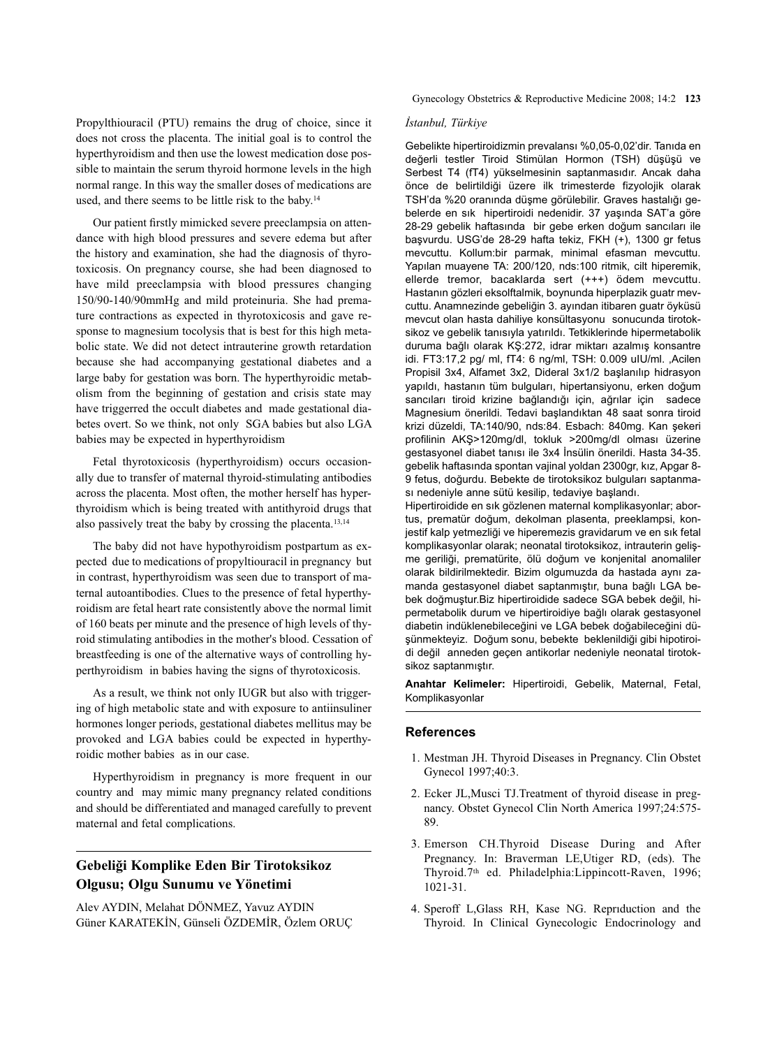Propylthiouracil (PTU) remains the drug of choice, since it does not cross the placenta. The initial goal is to control the hyperthyroidism and then use the lowest medication dose possible to maintain the serum thyroid hormone levels in the high normal range. In this way the smaller doses of medications are used, and there seems to be little risk to the baby. 14

Our patient firstly mimicked severe preeclampsia on attendance with high blood pressures and severe edema but after the history and examination, she had the diagnosis of thyrotoxicosis. On pregnancy course, she had been diagnosed to have mild preeclampsia with blood pressures changing 150/90-140/90mmHg and mild proteinuria. She had premature contractions as expected in thyrotoxicosis and gave response to magnesium tocolysis that is best for this high metabolic state. We did not detect intrauterine growth retardation because she had accompanying gestational diabetes and a large baby for gestation was born. The hyperthyroidic metabolism from the beginning of gestation and crisis state may have triggerred the occult diabetes and made gestational diabetes overt. So we think, not only SGA babies but also LGA babies may be expected in hyperthyroidism

Fetal thyrotoxicosis (hyperthyroidism) occurs occasionally due to transfer of maternal thyroid-stimulating antibodies across the placenta. Most often, the mother herself has hyperthyroidism which is being treated with antithyroid drugs that also passively treat the baby by crossing the placenta. 13,14

The baby did not have hypothyroidism postpartum as expected due to medications of propyltiouracil in pregnancy but in contrast, hyperthyroidism was seen due to transport of maternal autoantibodies. Clues to the presence of fetal hyperthyroidism are fetal heart rate consistently above the normal limit of 160 beats per minute and the presence of high levels of thyroid stimulating antibodies in the mother's blood. Cessation of breastfeeding is one of the alternative ways of controlling hyperthyroidism in babies having the signs of thyrotoxicosis.

As a result, we think not only IUGR but also with triggering of high metabolic state and with exposure to antiinsuliner hormones longer periods, gestational diabetes mellitus may be provoked and LGA babies could be expected in hyperthyroidic mother babies as in our case.

Hyperthyroidism in pregnancy is more frequent in our country and may mimic many pregnancy related conditions and should be differentiated and managed carefully to prevent maternal and fetal complications.

# **Gebeliği Komplike Eden Bir Tirotoksikoz Olgusu; Olgu Sunumu ve Yönetimi**

Alev AYDIN, Melahat DÖNMEZ, Yavuz AYDIN Güner KARATEKİN, Günseli ÖZDEMİR, Özlem ORUÇ Gynecology Obstetrics & Reproductive Medicine 2008; 14:2 **123**

### *İstanbul, Türkiye*

Gebelikte hipertiroidizmin prevalansı %0,05-0,02'dir. Tanıda en değerli testler Tiroid Stimülan Hormon (TSH) düşüşü ve Serbest T4 (fT4) yükselmesinin saptanmasıdır. Ancak daha önce de belirtildiği üzere ilk trimesterde fizyolojik olarak TSH'da %20 oranında düşme görülebilir. Graves hastalığı gebelerde en sık hipertiroidi nedenidir. 37 yaşında SAT'a göre 28-29 gebelik haftasında bir gebe erken doğum sancıları ile başvurdu. USG'de 28-29 hafta tekiz, FKH (+), 1300 gr fetus mevcuttu. Kollum:bir parmak, minimal efasman mevcuttu. Yapılan muayene TA: 200/120, nds:100 ritmik, cilt hiperemik, ellerde tremor, bacaklarda sert (+++) ödem mevcuttu. Hastanın gözleri eksolftalmik, boynunda hiperplazik guatr mevcuttu. Anamnezinde gebeliğin 3. ayından itibaren guatr öyküsü mevcut olan hasta dahiliye konsültasyonu sonucunda tirotoksikoz ve gebelik tanısıyla yatırıldı. Tetkiklerinde hipermetabolik duruma bağlı olarak KŞ:272, idrar miktarı azalmış konsantre idi. FT3:17,2 pg/ ml, fT4: 6 ng/ml, TSH: 0.009 uIU/ml. ,Acilen Propisil 3x4, Alfamet 3x2, Dideral 3x1/2 başlanılıp hidrasyon yapıldı, hastanın tüm bulguları, hipertansiyonu, erken doğum sancıları tiroid krizine bağlandığı için, ağrılar için sadece Magnesium önerildi. Tedavi başlandıktan 48 saat sonra tiroid krizi düzeldi, TA:140/90, nds:84. Esbach: 840mg. Kan şekeri profilinin AKŞ>120mg/dl, tokluk >200mg/dl olması üzerine gestasyonel diabet tanısı ile 3x4 İnsülin önerildi. Hasta 34-35. gebelik haftasında spontan vajinal yoldan 2300gr, kız, Apgar 8- 9 fetus, doğurdu. Bebekte de tirotoksikoz bulguları saptanması nedeniyle anne sütü kesilip, tedaviye başlandı.

Hipertiroidide en sık gözlenen maternal komplikasyonlar; abortus, prematür doğum, dekolman plasenta, preeklampsi, konjestif kalp yetmezliği ve hiperemezis gravidarum ve en sık fetal komplikasyonlar olarak; neonatal tirotoksikoz, intrauterin gelişme geriliği, prematürite, ölü doğum ve konjenital anomaliler olarak bildirilmektedir. Bizim olgumuzda da hastada aynı zamanda gestasyonel diabet saptanmıştır, buna bağlı LGA bebek doğmuştur.Biz hipertiroidide sadece SGA bebek değil, hipermetabolik durum ve hipertiroidiye bağlı olarak gestasyonel diabetin indüklenebileceğini ve LGA bebek doğabileceğini düşünmekteyiz. Doğum sonu, bebekte beklenildiği gibi hipotiroidi değil anneden geçen antikorlar nedeniyle neonatal tirotoksikoz saptanmıştır.

**Anahtar Kelimeler:** Hipertiroidi, Gebelik, Maternal, Fetal, Komplikasyonlar

#### **References**

- 1. Mestman JH. Thyroid Diseases in Pregnancy. Clin Obstet Gynecol 1997;40:3.
- 2. Ecker JL,Musci TJ.Treatment of thyroid disease in pregnancy. Obstet Gynecol Clin North America 1997;24:575- 89.
- 3. Emerson CH.Thyroid Disease During and After Pregnancy. In: Braverman LE,Utiger RD, (eds). The Thyroid.7th ed. Philadelphia:Lippincott-Raven, 1996; 1021-31.
- 4. Speroff L,Glass RH, Kase NG. Reprıduction and the Thyroid. In Clinical Gynecologic Endocrinology and